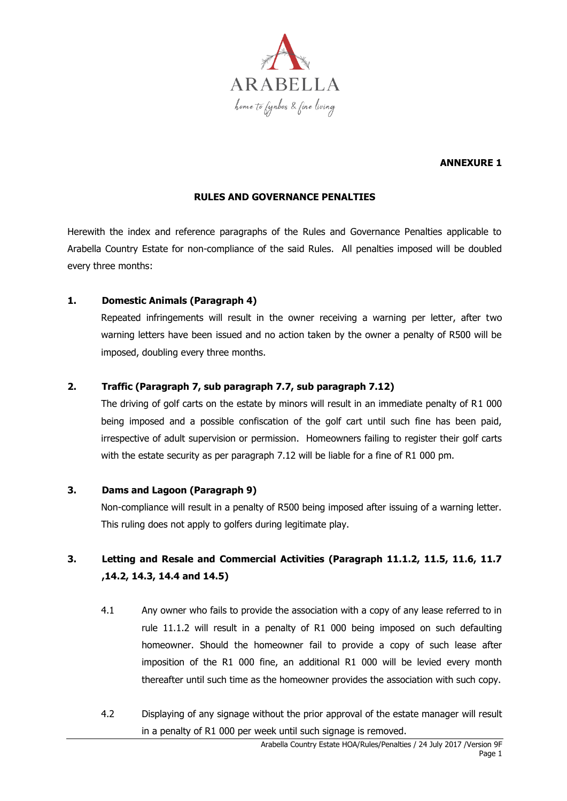

### **ANNEXURE 1**

#### **RULES AND GOVERNANCE PENALTIES**

Herewith the index and reference paragraphs of the Rules and Governance Penalties applicable to Arabella Country Estate for non-compliance of the said Rules. All penalties imposed will be doubled every three months:

#### **1. Domestic Animals (Paragraph 4)**

Repeated infringements will result in the owner receiving a warning per letter, after two warning letters have been issued and no action taken by the owner a penalty of R500 will be imposed, doubling every three months.

#### **2. Traffic (Paragraph 7, sub paragraph 7.7, sub paragraph 7.12)**

The driving of golf carts on the estate by minors will result in an immediate penalty of R1 000 being imposed and a possible confiscation of the golf cart until such fine has been paid, irrespective of adult supervision or permission. Homeowners failing to register their golf carts with the estate security as per paragraph 7.12 will be liable for a fine of R1 000 pm.

#### **3. Dams and Lagoon (Paragraph 9)**

Non-compliance will result in a penalty of R500 being imposed after issuing of a warning letter. This ruling does not apply to golfers during legitimate play.

## **3. Letting and Resale and Commercial Activities (Paragraph 11.1.2, 11.5, 11.6, 11.7 ,14.2, 14.3, 14.4 and 14.5)**

- 4.1 Any owner who fails to provide the association with a copy of any lease referred to in rule 11.1.2 will result in a penalty of R1 000 being imposed on such defaulting homeowner. Should the homeowner fail to provide a copy of such lease after imposition of the R1 000 fine, an additional R1 000 will be levied every month thereafter until such time as the homeowner provides the association with such copy.
- 4.2 Displaying of any signage without the prior approval of the estate manager will result in a penalty of R1 000 per week until such signage is removed.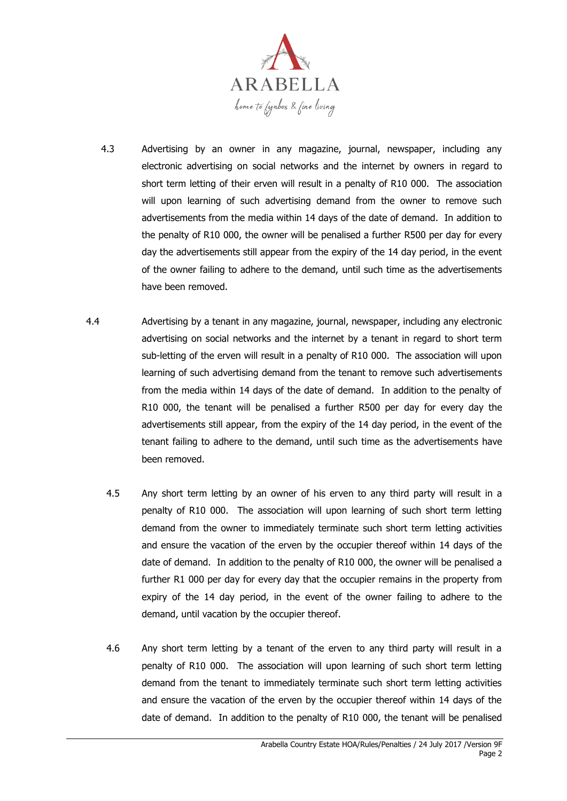

- 4.3 Advertising by an owner in any magazine, journal, newspaper, including any electronic advertising on social networks and the internet by owners in regard to short term letting of their erven will result in a penalty of R10 000. The association will upon learning of such advertising demand from the owner to remove such advertisements from the media within 14 days of the date of demand. In addition to the penalty of R10 000, the owner will be penalised a further R500 per day for every day the advertisements still appear from the expiry of the 14 day period, in the event of the owner failing to adhere to the demand, until such time as the advertisements have been removed.
- 4.4 Advertising by a tenant in any magazine, journal, newspaper, including any electronic advertising on social networks and the internet by a tenant in regard to short term sub-letting of the erven will result in a penalty of R10 000. The association will upon learning of such advertising demand from the tenant to remove such advertisements from the media within 14 days of the date of demand. In addition to the penalty of R10 000, the tenant will be penalised a further R500 per day for every day the advertisements still appear, from the expiry of the 14 day period, in the event of the tenant failing to adhere to the demand, until such time as the advertisements have been removed.
	- 4.5 Any short term letting by an owner of his erven to any third party will result in a penalty of R10 000. The association will upon learning of such short term letting demand from the owner to immediately terminate such short term letting activities and ensure the vacation of the erven by the occupier thereof within 14 days of the date of demand. In addition to the penalty of R10 000, the owner will be penalised a further R1 000 per day for every day that the occupier remains in the property from expiry of the 14 day period, in the event of the owner failing to adhere to the demand, until vacation by the occupier thereof.
	- 4.6 Any short term letting by a tenant of the erven to any third party will result in a penalty of R10 000. The association will upon learning of such short term letting demand from the tenant to immediately terminate such short term letting activities and ensure the vacation of the erven by the occupier thereof within 14 days of the date of demand. In addition to the penalty of R10 000, the tenant will be penalised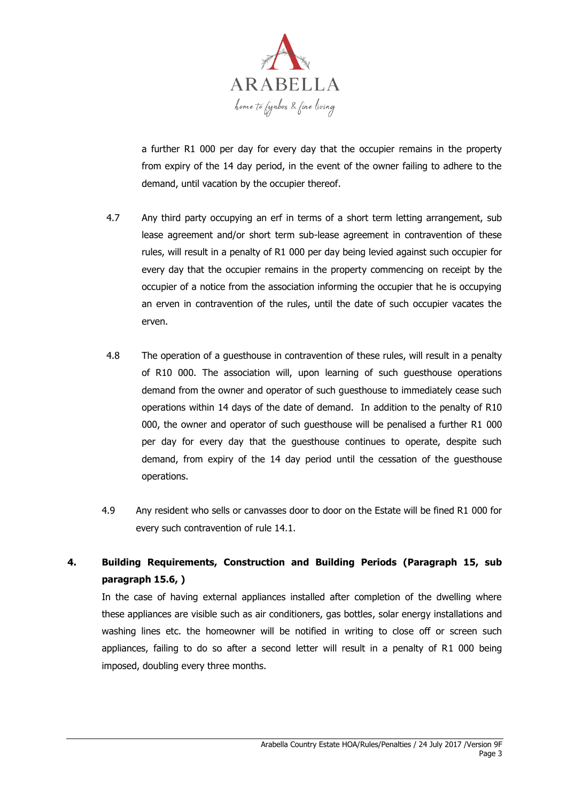

a further R1 000 per day for every day that the occupier remains in the property from expiry of the 14 day period, in the event of the owner failing to adhere to the demand, until vacation by the occupier thereof.

- 4.7 Any third party occupying an erf in terms of a short term letting arrangement, sub lease agreement and/or short term sub-lease agreement in contravention of these rules, will result in a penalty of R1 000 per day being levied against such occupier for every day that the occupier remains in the property commencing on receipt by the occupier of a notice from the association informing the occupier that he is occupying an erven in contravention of the rules, until the date of such occupier vacates the erven.
- 4.8 The operation of a guesthouse in contravention of these rules, will result in a penalty of R10 000. The association will, upon learning of such guesthouse operations demand from the owner and operator of such guesthouse to immediately cease such operations within 14 days of the date of demand. In addition to the penalty of R10 000, the owner and operator of such guesthouse will be penalised a further R1 000 per day for every day that the guesthouse continues to operate, despite such demand, from expiry of the 14 day period until the cessation of the guesthouse operations.
- 4.9 Any resident who sells or canvasses door to door on the Estate will be fined R1 000 for every such contravention of rule 14.1.

# **4. Building Requirements, Construction and Building Periods (Paragraph 15, sub paragraph 15.6, )**

In the case of having external appliances installed after completion of the dwelling where these appliances are visible such as air conditioners, gas bottles, solar energy installations and washing lines etc. the homeowner will be notified in writing to close off or screen such appliances, failing to do so after a second letter will result in a penalty of R1 000 being imposed, doubling every three months.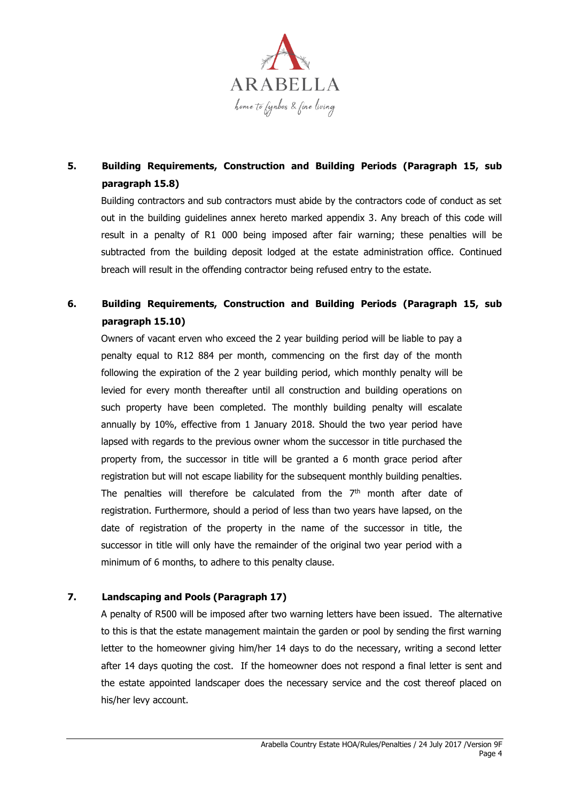

# **5. Building Requirements, Construction and Building Periods (Paragraph 15, sub paragraph 15.8)**

Building contractors and sub contractors must abide by the contractors code of conduct as set out in the building guidelines annex hereto marked appendix 3. Any breach of this code will result in a penalty of R1 000 being imposed after fair warning; these penalties will be subtracted from the building deposit lodged at the estate administration office. Continued breach will result in the offending contractor being refused entry to the estate.

## **6. Building Requirements, Construction and Building Periods (Paragraph 15, sub paragraph 15.10)**

Owners of vacant erven who exceed the 2 year building period will be liable to pay a penalty equal to R12 884 per month, commencing on the first day of the month following the expiration of the 2 year building period, which monthly penalty will be levied for every month thereafter until all construction and building operations on such property have been completed. The monthly building penalty will escalate annually by 10%, effective from 1 January 2018. Should the two year period have lapsed with regards to the previous owner whom the successor in title purchased the property from, the successor in title will be granted a 6 month grace period after registration but will not escape liability for the subsequent monthly building penalties. The penalties will therefore be calculated from the  $7<sup>th</sup>$  month after date of registration. Furthermore, should a period of less than two years have lapsed, on the date of registration of the property in the name of the successor in title, the successor in title will only have the remainder of the original two year period with a minimum of 6 months, to adhere to this penalty clause.

### **7. Landscaping and Pools (Paragraph 17)**

A penalty of R500 will be imposed after two warning letters have been issued. The alternative to this is that the estate management maintain the garden or pool by sending the first warning letter to the homeowner giving him/her 14 days to do the necessary, writing a second letter after 14 days quoting the cost. If the homeowner does not respond a final letter is sent and the estate appointed landscaper does the necessary service and the cost thereof placed on his/her levy account.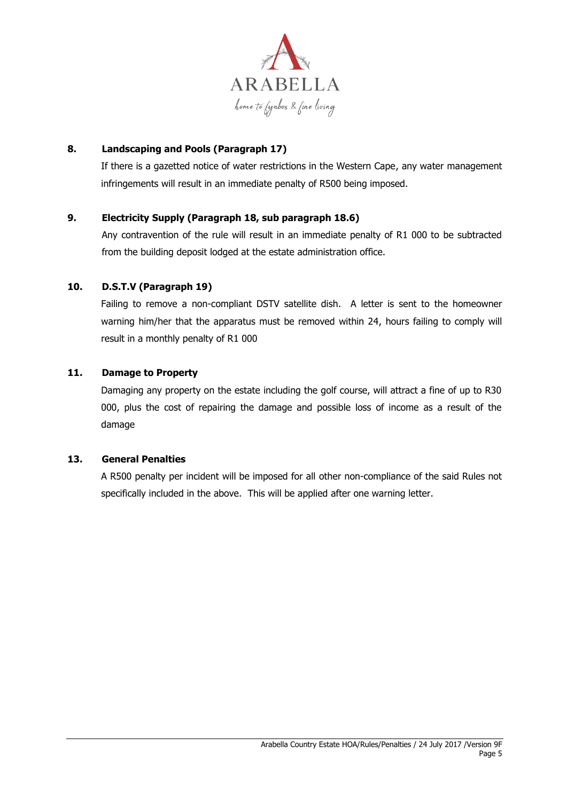

### **8. Landscaping and Pools (Paragraph 17)**

If there is a gazetted notice of water restrictions in the Western Cape, any water management infringements will result in an immediate penalty of R500 being imposed.

### **9. Electricity Supply (Paragraph 18, sub paragraph 18.6)**

Any contravention of the rule will result in an immediate penalty of R1 000 to be subtracted from the building deposit lodged at the estate administration office.

### **10. D.S.T.V (Paragraph 19)**

Failing to remove a non-compliant DSTV satellite dish. A letter is sent to the homeowner warning him/her that the apparatus must be removed within 24, hours failing to comply will result in a monthly penalty of R1 000

#### **11. Damage to Property**

Damaging any property on the estate including the golf course, will attract a fine of up to R30 000, plus the cost of repairing the damage and possible loss of income as a result of the damage

#### **13. General Penalties**

A R500 penalty per incident will be imposed for all other non-compliance of the said Rules not specifically included in the above. This will be applied after one warning letter.